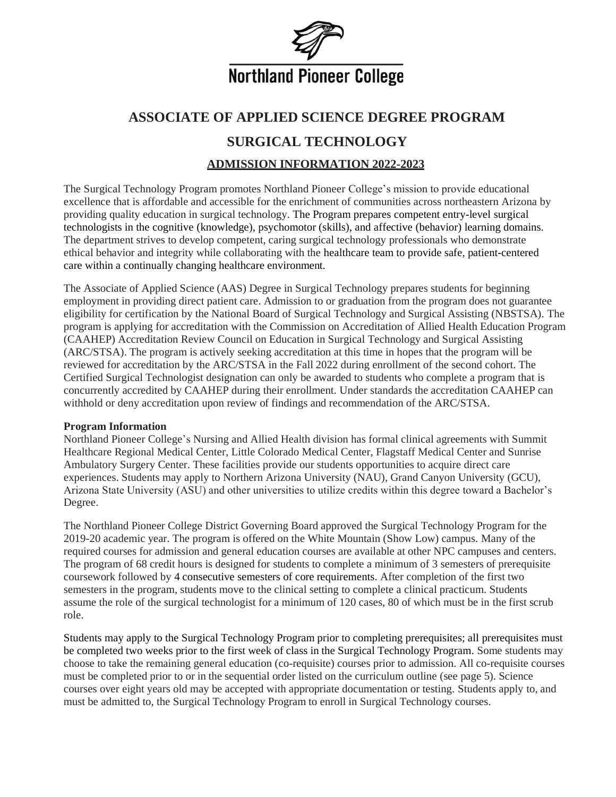

# **ASSOCIATE OF APPLIED SCIENCE DEGREE PROGRAM**

# **SURGICAL TECHNOLOGY**

### **ADMISSION INFORMATION 2022-2023**

The Surgical Technology Program promotes Northland Pioneer College's mission to provide educational excellence that is affordable and accessible for the enrichment of communities across northeastern Arizona by providing quality education in surgical technology. The Program prepares competent entry-level surgical technologists in the cognitive (knowledge), psychomotor (skills), and affective (behavior) learning domains. The department strives to develop competent, caring surgical technology professionals who demonstrate ethical behavior and integrity while collaborating with the healthcare team to provide safe, patient-centered care within a continually changing healthcare environment.

The Associate of Applied Science (AAS) Degree in Surgical Technology prepares students for beginning employment in providing direct patient care. Admission to or graduation from the program does not guarantee eligibility for certification by the National Board of Surgical Technology and Surgical Assisting (NBSTSA). The program is applying for accreditation with the Commission on Accreditation of Allied Health Education Program (CAAHEP) Accreditation Review Council on Education in Surgical Technology and Surgical Assisting (ARC/STSA). The program is actively seeking accreditation at this time in hopes that the program will be reviewed for accreditation by the ARC/STSA in the Fall 2022 during enrollment of the second cohort. The Certified Surgical Technologist designation can only be awarded to students who complete a program that is concurrently accredited by CAAHEP during their enrollment. Under standards the accreditation CAAHEP can withhold or deny accreditation upon review of findings and recommendation of the ARC/STSA.

### **Program Information**

Northland Pioneer College's Nursing and Allied Health division has formal clinical agreements with Summit Healthcare Regional Medical Center, Little Colorado Medical Center, Flagstaff Medical Center and Sunrise Ambulatory Surgery Center. These facilities provide our students opportunities to acquire direct care experiences. Students may apply to Northern Arizona University (NAU), Grand Canyon University (GCU), Arizona State University (ASU) and other universities to utilize credits within this degree toward a Bachelor's Degree.

The Northland Pioneer College District Governing Board approved the Surgical Technology Program for the 2019-20 academic year. The program is offered on the White Mountain (Show Low) campus. Many of the required courses for admission and general education courses are available at other NPC campuses and centers. The program of 68 credit hours is designed for students to complete a minimum of 3 semesters of prerequisite coursework followed by 4 consecutive semesters of core requirements. After completion of the first two semesters in the program, students move to the clinical setting to complete a clinical practicum. Students assume the role of the surgical technologist for a minimum of 120 cases, 80 of which must be in the first scrub role.

Students may apply to the Surgical Technology Program prior to completing prerequisites; all prerequisites must be completed two weeks prior to the first week of class in the Surgical Technology Program. Some students may choose to take the remaining general education (co-requisite) courses prior to admission. All co-requisite courses must be completed prior to or in the sequential order listed on the curriculum outline (see page 5). Science courses over eight years old may be accepted with appropriate documentation or testing. Students apply to, and must be admitted to, the Surgical Technology Program to enroll in Surgical Technology courses.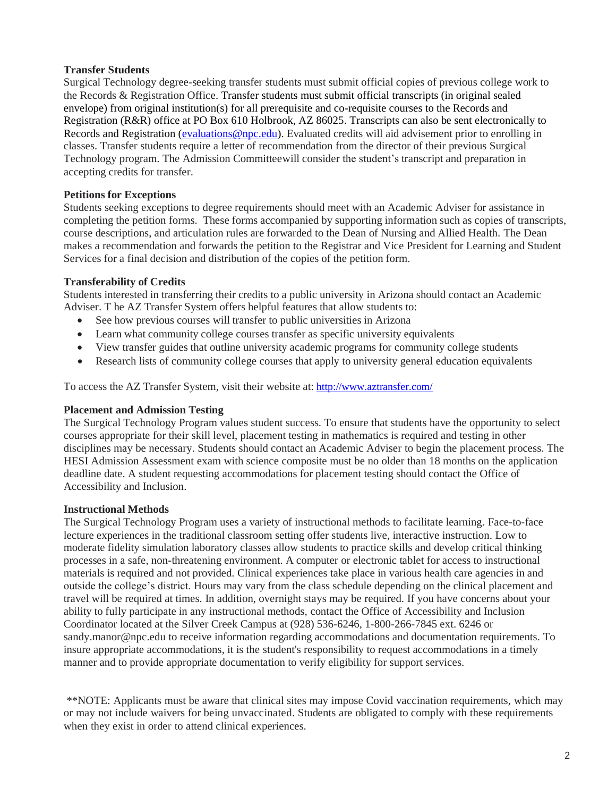### **Transfer Students**

Surgical Technology degree-seeking transfer students must submit official copies of previous college work to the Records & Registration Office. Transfer students must submit official transcripts (in original sealed envelope) from original institution(s) for all prerequisite and co-requisite courses to the Records and Registration (R&R) office at PO Box 610 Holbrook, AZ 86025. Transcripts can also be sent electronically to Records and Registration [\(evaluations@npc.edu\)](mailto:evaluations@npc.edu). Evaluated credits will aid advisement prior to enrolling in classes. Transfer students require a letter of recommendation from the director of their previous Surgical Technology program. The Admission Committeewill consider the student's transcript and preparation in accepting credits for transfer.

### **Petitions for Exceptions**

Students seeking exceptions to degree requirements should meet with an Academic Adviser for assistance in completing the petition forms. These forms accompanied by supporting information such as copies of transcripts, course descriptions, and articulation rules are forwarded to the Dean of Nursing and Allied Health. The Dean makes a recommendation and forwards the petition to the Registrar and Vice President for Learning and Student Services for a final decision and distribution of the copies of the petition form.

### **Transferability of Credits**

Students interested in transferring their credits to a public university in Arizona should contact an Academic Adviser. T he AZ Transfer System offers helpful features that allow students to:

- See how previous courses will transfer to public universities in Arizona
- Learn what community college courses transfer as specific university equivalents
- View transfer guides that outline university academic programs for community college students
- Research lists of community college courses that apply to university general education equivalents

To access the AZ Transfer System, visit their website at: <http://www.aztransfer.com/>

### **Placement and Admission Testing**

The Surgical Technology Program values student success. To ensure that students have the opportunity to select courses appropriate for their skill level, placement testing in mathematics is required and testing in other disciplines may be necessary. Students should contact an Academic Adviser to begin the placement process. The HESI Admission Assessment exam with science composite must be no older than 18 months on the application deadline date. A student requesting accommodations for placement testing should contact the Office of Accessibility and Inclusion.

### **Instructional Methods**

The Surgical Technology Program uses a variety of instructional methods to facilitate learning. Face-to-face lecture experiences in the traditional classroom setting offer students live, interactive instruction. Low to moderate fidelity simulation laboratory classes allow students to practice skills and develop critical thinking processes in a safe, non-threatening environment. A computer or electronic tablet for access to instructional materials is required and not provided. Clinical experiences take place in various health care agencies in and outside the college's district. Hours may vary from the class schedule depending on the clinical placement and travel will be required at times. In addition, overnight stays may be required. If you have concerns about your ability to fully participate in any instructional methods, contact the Office of Accessibility and Inclusion Coordinator located at the Silver Creek Campus at (928) 536-6246, 1-800-266-7845 ext. 6246 or [sandy.manor@npc.edu](mailto:sandy.manor@npc.edu) to receive information regarding accommodations and documentation requirements. To insure appropriate accommodations, it is the student's responsibility to request accommodations in a timely manner and to provide appropriate documentation to verify eligibility for support services.

\*\*NOTE: Applicants must be aware that clinical sites may impose Covid vaccination requirements, which may or may not include waivers for being unvaccinated. Students are obligated to comply with these requirements when they exist in order to attend clinical experiences.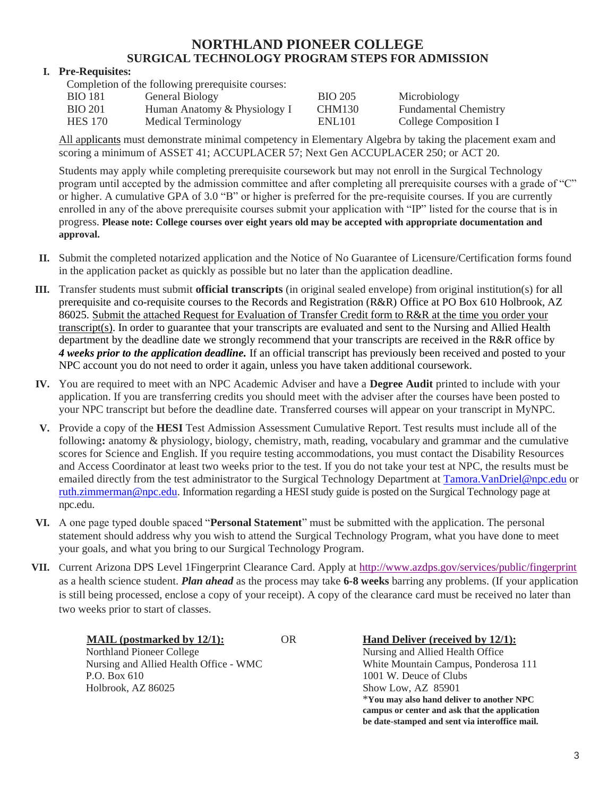# **NORTHLAND PIONEER COLLEGE SURGICAL TECHNOLOGY PROGRAM STEPS FOR ADMISSION**

### **I. Pre-Requisites:**

Completion of the following prerequisite courses:

| <b>BIO</b> 181 | General Biology              | <b>BIO 205</b>     | Microbiology                 |
|----------------|------------------------------|--------------------|------------------------------|
| <b>BIO 201</b> | Human Anatomy & Physiology I | <b>CHM130</b>      | <b>Fundamental Chemistry</b> |
| <b>HES</b> 170 | Medical Terminology          | ENL <sub>101</sub> | College Composition I        |

All applicants must demonstrate minimal competency in Elementary Algebra by taking the placement exam and scoring a minimum of ASSET 41; ACCUPLACER 57; Next Gen ACCUPLACER 250; or ACT 20.

Students may apply while completing prerequisite coursework but may not enroll in the Surgical Technology program until accepted by the admission committee and after completing all prerequisite courses with a grade of "C" or higher. A cumulative GPA of 3.0 "B" or higher is preferred for the pre-requisite courses. If you are currently enrolled in any of the above prerequisite courses submit your application with "IP" listed for the course that is in progress. **Please note: College courses over eight years old may be accepted with appropriate documentation and approval.**

- **II.** Submit the completed notarized application and the Notice of No Guarantee of Licensure/Certification forms found in the application packet as quickly as possible but no later than the application deadline.
- **III.** Transfer students must submit **official transcripts** (in original sealed envelope) from original institution(s) for all prerequisite and co-requisite courses to the Records and Registration (R&R) Office at PO Box 610 Holbrook, AZ 86025. Submit the attached Request for Evaluation of Transfer Credit form to R&R at the time you order your transcript(s). In order to guarantee that your transcripts are evaluated and sent to the Nursing and Allied Health department by the deadline date we strongly recommend that your transcripts are received in the R&R office by *4 weeks prior to the application deadline.* If an official transcript has previously been received and posted to your NPC account you do not need to order it again, unless you have taken additional coursework.
- **IV.** You are required to meet with an NPC Academic Adviser and have a **Degree Audit** printed to include with your application. If you are transferring credits you should meet with the adviser after the courses have been posted to your NPC transcript but before the deadline date. Transferred courses will appear on your transcript in MyNPC.
- **V.** Provide a copy of the **HESI** Test Admission Assessment Cumulative Report. Test results must include all of the following**:** anatomy & physiology, biology, chemistry, math, reading, vocabulary and grammar and the cumulative scores for Science and English. If you require testing accommodations, you must contact the Disability Resources and Access Coordinator at least two weeks prior to the test. If you do not take your test at NPC, the results must be emailed directly from the test administrator to the Surgical Technology Department at [Tamora.VanDriel@npc.edu](mailto:cathy.reed@npc.edu) or [ruth.zimmerman@npc.edu.](mailto:debra.mcginty@npc.edu) Information regarding a HESI study guide is posted on the Surgical Technology page at npc.edu.
- **VI.** A one page typed double spaced "**Personal Statement**" must be submitted with the application. The personal statement should address why you wish to attend the Surgical Technology Program, what you have done to meet your goals, and what you bring to our Surgical Technology Program.
- VII. Current Arizona DPS Level 1Fingerprint Clearance Card. Apply at <http://www.azdps.gov/services/public/fingerprint> as a health science student. *Plan ahead* as the process may take **6-8 weeks** barring any problems. (If your application is still being processed, enclose a copy of your receipt). A copy of the clearance card must be received no later than two weeks prior to start of classes.

Northland Pioneer College Nursing and Allied Health Office P.O. Box 610 1001 W. Deuce of Clubs Holbrook, AZ 86025 Show Low, AZ 85901

**MAIL (postmarked by 12/1):** OR **Hand Deliver (received by 12/1):** Nursing and Allied Health Office - WMC White Mountain Campus, Ponderosa 111 \***You may also hand deliver to another NPC campus or center and ask that the application be date-stamped and sent via interoffice mail.**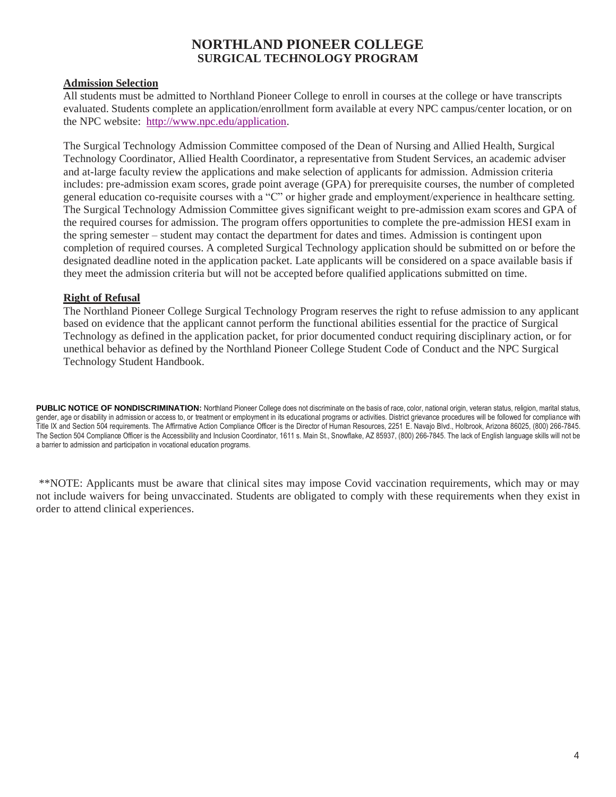# **NORTHLAND PIONEER COLLEGE SURGICAL TECHNOLOGY PROGRAM**

### **Admission Selection**

All students must be admitted to Northland Pioneer College to enroll in courses at the college or have transcripts evaluated. Students complete an application/enrollment form available at every NPC campus/center location, or on the NPC website: [http://www.npc.edu/application.](http://www.npc.edu/application)

The Surgical Technology Admission Committee composed of the Dean of Nursing and Allied Health, Surgical Technology Coordinator, Allied Health Coordinator, a representative from Student Services, an academic adviser and at-large faculty review the applications and make selection of applicants for admission. Admission criteria includes: pre-admission exam scores, grade point average (GPA) for prerequisite courses, the number of completed general education co-requisite courses with a "C" or higher grade and employment/experience in healthcare setting. The Surgical Technology Admission Committee gives significant weight to pre-admission exam scores and GPA of the required courses for admission. The program offers opportunities to complete the pre-admission HESI exam in the spring semester – student may contact the department for dates and times. Admission is contingent upon completion of required courses. A completed Surgical Technology application should be submitted on or before the designated deadline noted in the application packet. Late applicants will be considered on a space available basis if they meet the admission criteria but will not be accepted before qualified applications submitted on time.

### **Right of Refusal**

The Northland Pioneer College Surgical Technology Program reserves the right to refuse admission to any applicant based on evidence that the applicant cannot perform the functional abilities essential for the practice of Surgical Technology as defined in the application packet, for prior documented conduct requiring disciplinary action, or for unethical behavior as defined by the Northland Pioneer College Student Code of Conduct and the NPC Surgical Technology Student Handbook.

PUBLIC NOTICE OF NONDISCRIMINATION: Northland Pioneer College does not discriminate on the basis of race, color, national origin, veteran status, religion, marital status, gender, age or disability in admission or access to, or treatment or employment in its educational programs or activities. District grievance procedures will be followed for compliance with Title IX and Section 504 requirements. The Affirmative Action Compliance Officer is the Director of Human Resources, 2251 E. Navajo Blvd., Holbrook, Arizona 86025, (800) 266-7845. The Section 504 Compliance Officer is the Accessibility and Inclusion Coordinator, 1611 s. Main St., Snowflake, AZ 85937, (800) 266-7845. The lack of English language skills will not be a barrier to admission and participation in vocational education programs.

\*\*NOTE: Applicants must be aware that clinical sites may impose Covid vaccination requirements, which may or may not include waivers for being unvaccinated. Students are obligated to comply with these requirements when they exist in order to attend clinical experiences.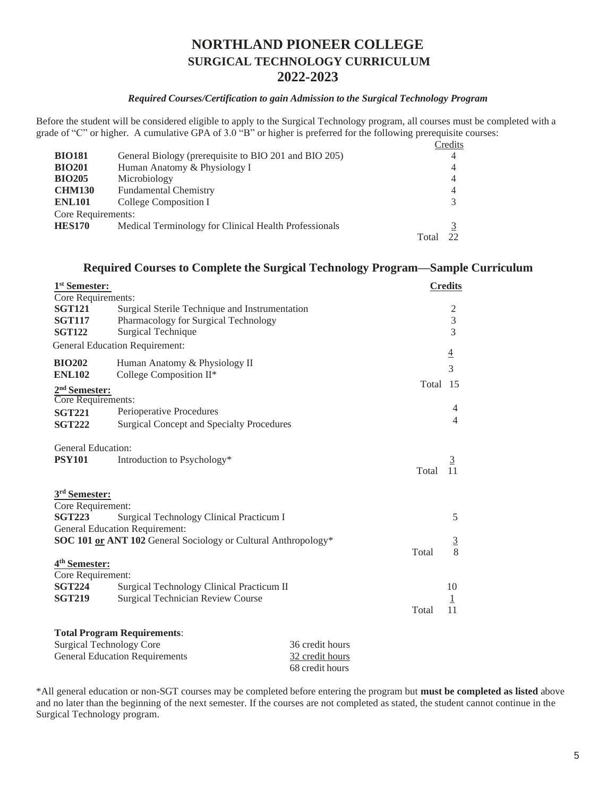# **NORTHLAND PIONEER COLLEGE SURGICAL TECHNOLOGY CURRICULUM 2022-2023**

### *Required Courses/Certification to gain Admission to the Surgical Technology Program*

Before the student will be considered eligible to apply to the Surgical Technology program, all courses must be completed with a grade of "C" or higher. A cumulative GPA of 3.0 "B" or higher is preferred for the following prerequisite courses:

|                    |                                                       |       | Credits |
|--------------------|-------------------------------------------------------|-------|---------|
| <b>BIO181</b>      | General Biology (prerequisite to BIO 201 and BIO 205) |       | 4       |
| <b>BIO201</b>      | Human Anatomy & Physiology I                          |       | 4       |
| <b>BIO205</b>      | Microbiology                                          |       | 4       |
| <b>CHM130</b>      | <b>Fundamental Chemistry</b>                          |       | 4       |
| <b>ENL101</b>      | College Composition I                                 |       |         |
| Core Requirements: |                                                       |       |         |
| <b>HES170</b>      | Medical Terminology for Clinical Health Professionals |       |         |
|                    |                                                       | Total |         |

### **Required Courses to Complete the Surgical Technology Program—Sample Curriculum**

| 1 <sup>st</sup> Semester: |                                                                |       | <b>Credits</b> |
|---------------------------|----------------------------------------------------------------|-------|----------------|
| Core Requirements:        |                                                                |       |                |
| <b>SGT121</b>             | Surgical Sterile Technique and Instrumentation                 |       | 2              |
| <b>SGT117</b>             | Pharmacology for Surgical Technology                           |       | $\overline{3}$ |
| <b>SGT122</b>             | <b>Surgical Technique</b>                                      |       | $\overline{3}$ |
|                           | <b>General Education Requirement:</b>                          |       | $\overline{4}$ |
| <b>BIO202</b>             | Human Anatomy & Physiology II                                  |       |                |
| <b>ENL102</b>             | College Composition II*                                        |       | 3              |
| 2 <sup>nd</sup> Semester: |                                                                | Total | 15             |
| Core Requirements:        |                                                                |       |                |
| <b>SGT221</b>             | Perioperative Procedures                                       |       | 4              |
| <b>SGT222</b>             | <b>Surgical Concept and Specialty Procedures</b>               |       | 4              |
| General Education:        |                                                                |       |                |
| <b>PSY101</b>             | Introduction to Psychology*                                    |       | $\overline{3}$ |
|                           |                                                                | Total |                |
| 3 <sup>rd</sup> Semester: |                                                                |       |                |
| Core Requirement:         |                                                                |       |                |
| <b>SGT223</b>             | <b>Surgical Technology Clinical Practicum I</b>                |       | 5              |
|                           | <b>General Education Requirement:</b>                          |       |                |
|                           | SOC 101 or ANT 102 General Sociology or Cultural Anthropology* |       | $\overline{3}$ |
|                           |                                                                | Total | 8              |
| 4 <sup>th</sup> Semester: |                                                                |       |                |
| Core Requirement:         |                                                                |       |                |
| <b>SGT224</b>             | Surgical Technology Clinical Practicum II                      |       | 10             |
| <b>SGT219</b>             | <b>Surgical Technician Review Course</b>                       |       | 1              |
|                           |                                                                | Total | 11             |
|                           |                                                                |       |                |

| <b>Total Program Requirements:</b>    |                 |
|---------------------------------------|-----------------|
| Surgical Technology Core              | 36 credit hours |
| <b>General Education Requirements</b> | 32 credit hours |
|                                       | 68 credit hours |

\*All general education or non-SGT courses may be completed before entering the program but **must be completed as listed** above and no later than the beginning of the next semester. If the courses are not completed as stated, the student cannot continue in the Surgical Technology program.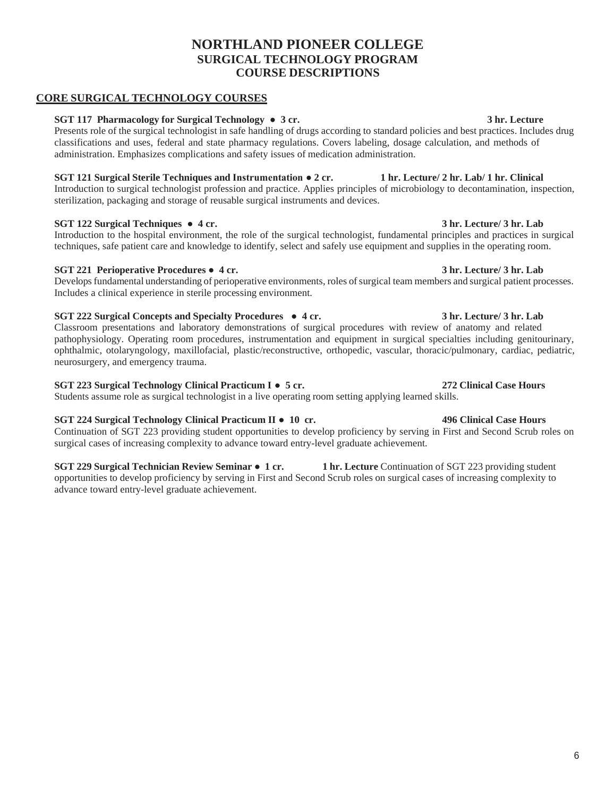# **NORTHLAND PIONEER COLLEGE SURGICAL TECHNOLOGY PROGRAM COURSE DESCRIPTIONS**

### **CORE SURGICAL TECHNOLOGY COURSES**

### **SGT 117 Pharmacology for Surgical Technology ● 3 cr. 3 hr. Lecture**

Presents role of the surgical technologist in safe handling of drugs according to standard policies and best practices. Includes drug classifications and uses, federal and state pharmacy regulations. Covers labeling, dosage calculation, and methods of administration. Emphasizes complications and safety issues of medication administration.

### **SGT 121 Surgical Sterile Techniques and Instrumentation ● 2 cr. 1 hr. Lecture/ 2 hr. Lab/ 1 hr. Clinical**

Introduction to surgical technologist profession and practice. Applies principles of microbiology to decontamination, inspection, sterilization, packaging and storage of reusable surgical instruments and devices.

### **SGT 122 Surgical Techniques ● 4 cr. 3 hr. Lecture/ 3 hr. Lab**

Introduction to the hospital environment, the role of the surgical technologist, fundamental principles and practices in surgical techniques, safe patient care and knowledge to identify, select and safely use equipment and supplies in the operating room.

# **SGT 221 Perioperative Procedures ● 4 cr. 3 hr. Lecture/ 3 hr. Lab**

Develops fundamental understanding of perioperative environments, roles of surgical team members and surgical patient processes. Includes a clinical experience in sterile processing environment.

# **SGT 222 Surgical Concepts and Specialty Procedures ● 4 cr. 3 hr. Lecture/ 3 hr. Lab**

Classroom presentations and laboratory demonstrations of surgical procedures with review of anatomy and related pathophysiology. Operating room procedures, instrumentation and equipment in surgical specialties including genitourinary, ophthalmic, otolaryngology, maxillofacial, plastic/reconstructive, orthopedic, vascular, thoracic/pulmonary, cardiac, pediatric, neurosurgery, and emergency trauma.

### **SGT 223 Surgical Technology Clinical Practicum I ● 5 cr. 272 Clinical Case Hours**

Students assume role as surgical technologist in a live operating room setting applying learned skills.

# **SGT 224 Surgical Technology Clinical Practicum II ● 10 cr. 496 Clinical Case Hours**

Continuation of SGT 223 providing student opportunities to develop proficiency by serving in First and Second Scrub roles on surgical cases of increasing complexity to advance toward entry-level graduate achievement.

**SGT 229 Surgical Technician Review Seminar ● 1 cr. 1 hr. Lecture** Continuation of SGT 223 providing student opportunities to develop proficiency by serving in First and Second Scrub roles on surgical cases of increasing complexity to advance toward entry-level graduate achievement.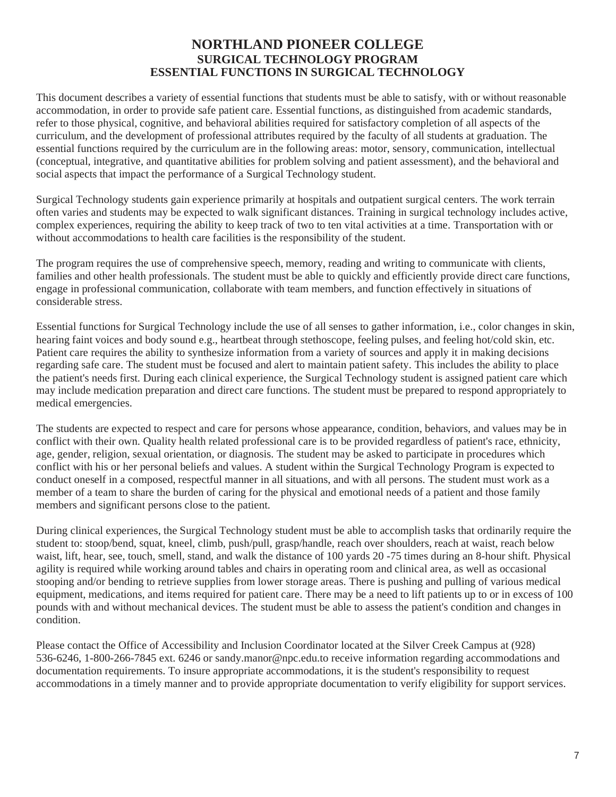# **NORTHLAND PIONEER COLLEGE SURGICAL TECHNOLOGY PROGRAM ESSENTIAL FUNCTIONS IN SURGICAL TECHNOLOGY**

This document describes a variety of essential functions that students must be able to satisfy, with or without reasonable accommodation, in order to provide safe patient care. Essential functions, as distinguished from academic standards, refer to those physical, cognitive, and behavioral abilities required for satisfactory completion of all aspects of the curriculum, and the development of professional attributes required by the faculty of all students at graduation. The essential functions required by the curriculum are in the following areas: motor, sensory, communication, intellectual (conceptual, integrative, and quantitative abilities for problem solving and patient assessment), and the behavioral and social aspects that impact the performance of a Surgical Technology student.

Surgical Technology students gain experience primarily at hospitals and outpatient surgical centers. The work terrain often varies and students may be expected to walk significant distances. Training in surgical technology includes active, complex experiences, requiring the ability to keep track of two to ten vital activities at a time. Transportation with or without accommodations to health care facilities is the responsibility of the student.

The program requires the use of comprehensive speech, memory, reading and writing to communicate with clients, families and other health professionals. The student must be able to quickly and efficiently provide direct care functions, engage in professional communication, collaborate with team members, and function effectively in situations of considerable stress.

Essential functions for Surgical Technology include the use of all senses to gather information, i.e., color changes in skin, hearing faint voices and body sound e.g., heartbeat through stethoscope, feeling pulses, and feeling hot/cold skin, etc. Patient care requires the ability to synthesize information from a variety of sources and apply it in making decisions regarding safe care. The student must be focused and alert to maintain patient safety. This includes the ability to place the patient's needs first. During each clinical experience, the Surgical Technology student is assigned patient care which may include medication preparation and direct care functions. The student must be prepared to respond appropriately to medical emergencies.

The students are expected to respect and care for persons whose appearance, condition, behaviors, and values may be in conflict with their own. Quality health related professional care is to be provided regardless of patient's race, ethnicity, age, gender, religion, sexual orientation, or diagnosis. The student may be asked to participate in procedures which conflict with his or her personal beliefs and values. A student within the Surgical Technology Program is expected to conduct oneself in a composed, respectful manner in all situations, and with all persons. The student must work as a member of a team to share the burden of caring for the physical and emotional needs of a patient and those family members and significant persons close to the patient.

During clinical experiences, the Surgical Technology student must be able to accomplish tasks that ordinarily require the student to: stoop/bend, squat, kneel, climb, push/pull, grasp/handle, reach over shoulders, reach at waist, reach below waist, lift, hear, see, touch, smell, stand, and walk the distance of 100 yards 20 -75 times during an 8-hour shift. Physical agility is required while working around tables and chairs in operating room and clinical area, as well as occasional stooping and/or bending to retrieve supplies from lower storage areas. There is pushing and pulling of various medical equipment, medications, and items required for patient care. There may be a need to lift patients up to or in excess of 100 pounds with and without mechanical devices. The student must be able to assess the patient's condition and changes in condition.

Please contact the Office of Accessibility and Inclusion Coordinator located at the Silver Creek Campus at (928) 536-6246, 1-800-266-7845 ext. 6246 or [sandy.manor@npc.edu.to](mailto:sandy.manor@npc.edu.to) receive information regarding accommodations and documentation requirements. To insure appropriate accommodations, it is the student's responsibility to request accommodations in a timely manner and to provide appropriate documentation to verify eligibility for support services.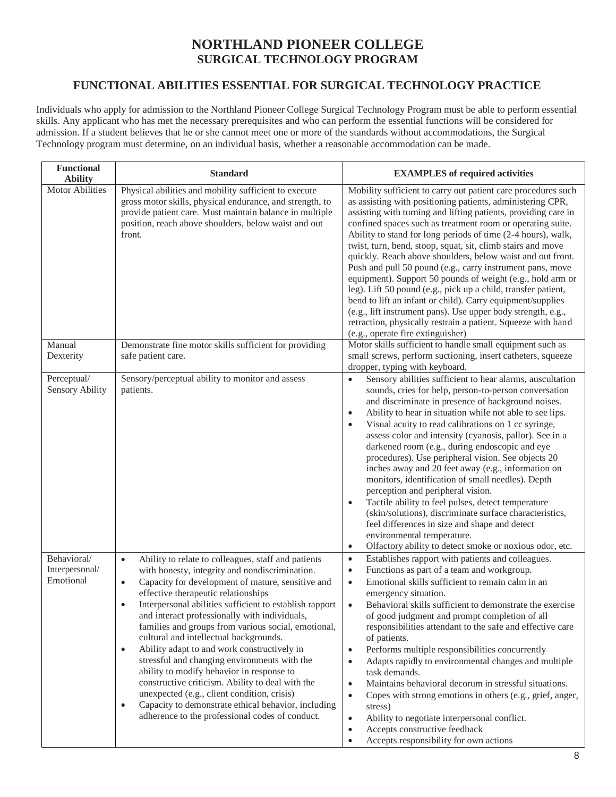# **NORTHLAND PIONEER COLLEGE SURGICAL TECHNOLOGY PROGRAM**

# **FUNCTIONAL ABILITIES ESSENTIAL FOR SURGICAL TECHNOLOGY PRACTICE**

Individuals who apply for admission to the Northland Pioneer College Surgical Technology Program must be able to perform essential skills. Any applicant who has met the necessary prerequisites and who can perform the essential functions will be considered for admission. If a student believes that he or she cannot meet one or more of the standards without accommodations, the Surgical Technology program must determine, on an individual basis, whether a reasonable accommodation can be made.

| <b>Functional</b><br><b>Ability</b>        | <b>Standard</b>                                                                                                                                                                                                                                                                                                                                                                                                                                                                                                                                                                                                                                                                                                                                                                                                                          | <b>EXAMPLES</b> of required activities                                                                                                                                                                                                                                                                                                                                                                                                                                                                                                                                                                                                                                                                                                                                                                                                                                                                                        |
|--------------------------------------------|------------------------------------------------------------------------------------------------------------------------------------------------------------------------------------------------------------------------------------------------------------------------------------------------------------------------------------------------------------------------------------------------------------------------------------------------------------------------------------------------------------------------------------------------------------------------------------------------------------------------------------------------------------------------------------------------------------------------------------------------------------------------------------------------------------------------------------------|-------------------------------------------------------------------------------------------------------------------------------------------------------------------------------------------------------------------------------------------------------------------------------------------------------------------------------------------------------------------------------------------------------------------------------------------------------------------------------------------------------------------------------------------------------------------------------------------------------------------------------------------------------------------------------------------------------------------------------------------------------------------------------------------------------------------------------------------------------------------------------------------------------------------------------|
| <b>Motor Abilities</b>                     | Physical abilities and mobility sufficient to execute<br>gross motor skills, physical endurance, and strength, to<br>provide patient care. Must maintain balance in multiple<br>position, reach above shoulders, below waist and out<br>front.                                                                                                                                                                                                                                                                                                                                                                                                                                                                                                                                                                                           | Mobility sufficient to carry out patient care procedures such<br>as assisting with positioning patients, administering CPR,<br>assisting with turning and lifting patients, providing care in<br>confined spaces such as treatment room or operating suite.<br>Ability to stand for long periods of time (2-4 hours), walk,<br>twist, turn, bend, stoop, squat, sit, climb stairs and move<br>quickly. Reach above shoulders, below waist and out front.<br>Push and pull 50 pound (e.g., carry instrument pans, move<br>equipment). Support 50 pounds of weight (e.g., hold arm or<br>leg). Lift 50 pound (e.g., pick up a child, transfer patient,<br>bend to lift an infant or child). Carry equipment/supplies<br>(e.g., lift instrument pans). Use upper body strength, e.g.,<br>retraction, physically restrain a patient. Squeeze with hand<br>(e.g., operate fire extinguisher)                                       |
| Manual<br>Dexterity                        | Demonstrate fine motor skills sufficient for providing<br>safe patient care.                                                                                                                                                                                                                                                                                                                                                                                                                                                                                                                                                                                                                                                                                                                                                             | Motor skills sufficient to handle small equipment such as<br>small screws, perform suctioning, insert catheters, squeeze<br>dropper, typing with keyboard.                                                                                                                                                                                                                                                                                                                                                                                                                                                                                                                                                                                                                                                                                                                                                                    |
| Perceptual/<br><b>Sensory Ability</b>      | Sensory/perceptual ability to monitor and assess<br>patients.                                                                                                                                                                                                                                                                                                                                                                                                                                                                                                                                                                                                                                                                                                                                                                            | Sensory abilities sufficient to hear alarms, auscultation<br>$\bullet$<br>sounds, cries for help, person-to-person conversation<br>and discriminate in presence of background noises.<br>Ability to hear in situation while not able to see lips.<br>$\bullet$<br>Visual acuity to read calibrations on 1 cc syringe,<br>$\bullet$<br>assess color and intensity (cyanosis, pallor). See in a<br>darkened room (e.g., during endoscopic and eye<br>procedures). Use peripheral vision. See objects 20<br>inches away and 20 feet away (e.g., information on<br>monitors, identification of small needles). Depth<br>perception and peripheral vision.<br>Tactile ability to feel pulses, detect temperature<br>(skin/solutions), discriminate surface characteristics,<br>feel differences in size and shape and detect<br>environmental temperature.<br>Olfactory ability to detect smoke or noxious odor, etc.<br>$\bullet$ |
| Behavioral/<br>Interpersonal/<br>Emotional | Ability to relate to colleagues, staff and patients<br>$\bullet$<br>with honesty, integrity and nondiscrimination.<br>Capacity for development of mature, sensitive and<br>$\bullet$<br>effective therapeutic relationships<br>Interpersonal abilities sufficient to establish rapport<br>$\bullet$<br>and interact professionally with individuals,<br>families and groups from various social, emotional,<br>cultural and intellectual backgrounds.<br>Ability adapt to and work constructively in<br>$\bullet$<br>stressful and changing environments with the<br>ability to modify behavior in response to<br>constructive criticism. Ability to deal with the<br>unexpected (e.g., client condition, crisis)<br>Capacity to demonstrate ethical behavior, including<br>$\bullet$<br>adherence to the professional codes of conduct. | Establishes rapport with patients and colleagues.<br>$\bullet$<br>Functions as part of a team and workgroup.<br>$\bullet$<br>Emotional skills sufficient to remain calm in an<br>$\bullet$<br>emergency situation.<br>Behavioral skills sufficient to demonstrate the exercise<br>$\bullet$<br>of good judgment and prompt completion of all<br>responsibilities attendant to the safe and effective care<br>of patients.<br>Performs multiple responsibilities concurrently<br>$\bullet$<br>Adapts rapidly to environmental changes and multiple<br>$\bullet$<br>task demands.<br>Maintains behavioral decorum in stressful situations.<br>$\bullet$<br>Copes with strong emotions in others (e.g., grief, anger,<br>$\bullet$<br>stress)<br>Ability to negotiate interpersonal conflict.<br>$\bullet$<br>Accepts constructive feedback<br>$\bullet$<br>Accepts responsibility for own actions<br>$\bullet$                  |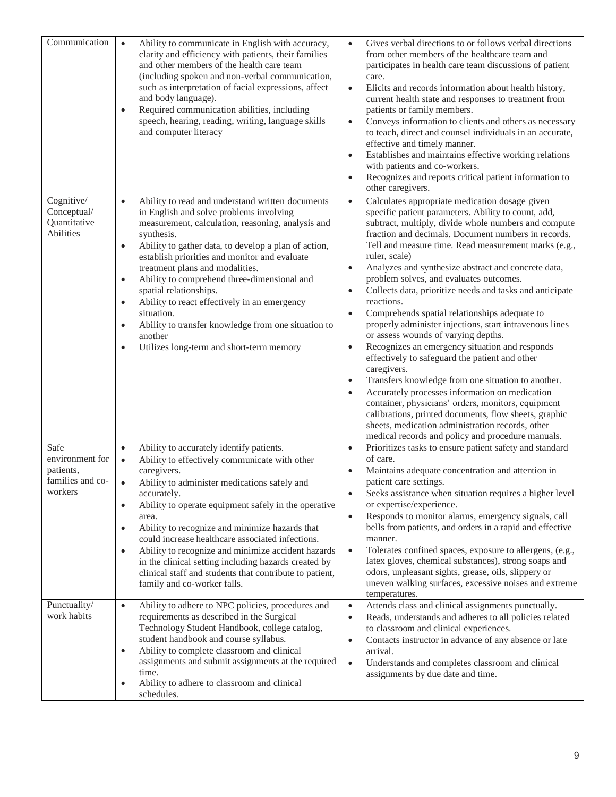| Communication                                                       | Ability to communicate in English with accuracy,<br>$\bullet$<br>clarity and efficiency with patients, their families<br>and other members of the health care team<br>(including spoken and non-verbal communication,<br>such as interpretation of facial expressions, affect<br>and body language).<br>Required communication abilities, including<br>$\bullet$<br>speech, hearing, reading, writing, language skills<br>and computer literacy                                                                                                                                                                                               | Gives verbal directions to or follows verbal directions<br>$\bullet$<br>from other members of the healthcare team and<br>participates in health care team discussions of patient<br>care.<br>Elicits and records information about health history,<br>$\bullet$<br>current health state and responses to treatment from<br>patients or family members.<br>Conveys information to clients and others as necessary<br>$\bullet$<br>to teach, direct and counsel individuals in an accurate,<br>effective and timely manner.<br>Establishes and maintains effective working relations<br>$\bullet$<br>with patients and co-workers.<br>Recognizes and reports critical patient information to<br>$\bullet$<br>other caregivers.                                                                                                                                                                                                                                                                                                                                                                                                                     |
|---------------------------------------------------------------------|-----------------------------------------------------------------------------------------------------------------------------------------------------------------------------------------------------------------------------------------------------------------------------------------------------------------------------------------------------------------------------------------------------------------------------------------------------------------------------------------------------------------------------------------------------------------------------------------------------------------------------------------------|--------------------------------------------------------------------------------------------------------------------------------------------------------------------------------------------------------------------------------------------------------------------------------------------------------------------------------------------------------------------------------------------------------------------------------------------------------------------------------------------------------------------------------------------------------------------------------------------------------------------------------------------------------------------------------------------------------------------------------------------------------------------------------------------------------------------------------------------------------------------------------------------------------------------------------------------------------------------------------------------------------------------------------------------------------------------------------------------------------------------------------------------------|
| Cognitive/<br>Conceptual/<br>Quantitative<br><b>Abilities</b>       | Ability to read and understand written documents<br>$\bullet$<br>in English and solve problems involving<br>measurement, calculation, reasoning, analysis and<br>synthesis.<br>Ability to gather data, to develop a plan of action,<br>$\bullet$<br>establish priorities and monitor and evaluate<br>treatment plans and modalities.<br>Ability to comprehend three-dimensional and<br>$\bullet$<br>spatial relationships.<br>Ability to react effectively in an emergency<br>$\bullet$<br>situation.<br>Ability to transfer knowledge from one situation to<br>$\bullet$<br>another<br>Utilizes long-term and short-term memory<br>$\bullet$ | Calculates appropriate medication dosage given<br>$\bullet$<br>specific patient parameters. Ability to count, add,<br>subtract, multiply, divide whole numbers and compute<br>fraction and decimals. Document numbers in records.<br>Tell and measure time. Read measurement marks (e.g.,<br>ruler, scale)<br>Analyzes and synthesize abstract and concrete data,<br>$\bullet$<br>problem solves, and evaluates outcomes.<br>Collects data, prioritize needs and tasks and anticipate<br>$\bullet$<br>reactions.<br>Comprehends spatial relationships adequate to<br>$\bullet$<br>properly administer injections, start intravenous lines<br>or assess wounds of varying depths.<br>Recognizes an emergency situation and responds<br>$\bullet$<br>effectively to safeguard the patient and other<br>caregivers.<br>Transfers knowledge from one situation to another.<br>Accurately processes information on medication<br>container, physicians' orders, monitors, equipment<br>calibrations, printed documents, flow sheets, graphic<br>sheets, medication administration records, other<br>medical records and policy and procedure manuals. |
| Safe<br>environment for<br>patients,<br>families and co-<br>workers | Ability to accurately identify patients.<br>$\bullet$<br>Ability to effectively communicate with other<br>$\bullet$<br>caregivers.<br>Ability to administer medications safely and<br>$\bullet$<br>accurately.<br>Ability to operate equipment safely in the operative<br>$\bullet$<br>area.<br>Ability to recognize and minimize hazards that<br>$\bullet$<br>could increase healthcare associated infections.<br>Ability to recognize and minimize accident hazards<br>$\bullet$<br>in the clinical setting including hazards created by<br>clinical staff and students that contribute to patient,<br>family and co-worker falls.          | Prioritizes tasks to ensure patient safety and standard<br>$\bullet$<br>of care.<br>Maintains adequate concentration and attention in<br>patient care settings.<br>Seeks assistance when situation requires a higher level<br>$\bullet$<br>or expertise/experience.<br>Responds to monitor alarms, emergency signals, call<br>$\bullet$<br>bells from patients, and orders in a rapid and effective<br>manner.<br>Tolerates confined spaces, exposure to allergens, (e.g.,<br>$\bullet$<br>latex gloves, chemical substances), strong soaps and<br>odors, unpleasant sights, grease, oils, slippery or<br>uneven walking surfaces, excessive noises and extreme<br>temperatures.                                                                                                                                                                                                                                                                                                                                                                                                                                                                 |
| Punctuality/<br>work habits                                         | Ability to adhere to NPC policies, procedures and<br>$\bullet$<br>requirements as described in the Surgical<br>Technology Student Handbook, college catalog,<br>student handbook and course syllabus.<br>Ability to complete classroom and clinical<br>$\bullet$<br>assignments and submit assignments at the required<br>time.<br>Ability to adhere to classroom and clinical<br>$\bullet$<br>schedules.                                                                                                                                                                                                                                     | Attends class and clinical assignments punctually.<br>$\bullet$<br>Reads, understands and adheres to all policies related<br>$\bullet$<br>to classroom and clinical experiences.<br>Contacts instructor in advance of any absence or late<br>$\bullet$<br>arrival.<br>Understands and completes classroom and clinical<br>$\bullet$<br>assignments by due date and time.                                                                                                                                                                                                                                                                                                                                                                                                                                                                                                                                                                                                                                                                                                                                                                         |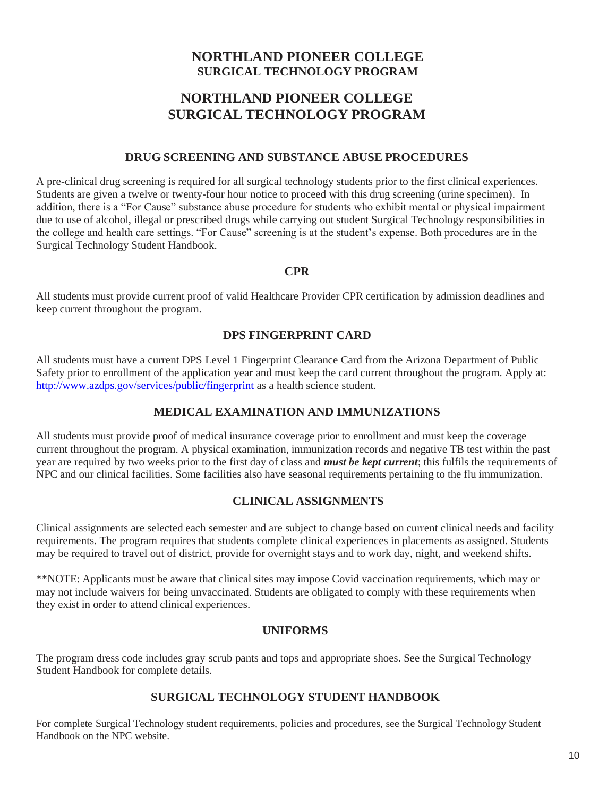# **NORTHLAND PIONEER COLLEGE SURGICAL TECHNOLOGY PROGRAM**

# **NORTHLAND PIONEER COLLEGE SURGICAL TECHNOLOGY PROGRAM**

### **DRUG SCREENING AND SUBSTANCE ABUSE PROCEDURES**

A pre-clinical drug screening is required for all surgical technology students prior to the first clinical experiences. Students are given a twelve or twenty-four hour notice to proceed with this drug screening (urine specimen). In addition, there is a "For Cause" substance abuse procedure for students who exhibit mental or physical impairment due to use of alcohol, illegal or prescribed drugs while carrying out student Surgical Technology responsibilities in the college and health care settings. "For Cause" screening is at the student's expense. Both procedures are in the Surgical Technology Student Handbook.

### **CPR**

All students must provide current proof of valid Healthcare Provider CPR certification by admission deadlines and keep current throughout the program.

# **DPS FINGERPRINT CARD**

All students must have a current DPS Level 1 Fingerprint Clearance Card from the Arizona Department of Public Safety prior to enrollment of the application year and must keep the card current throughout the program. Apply at: <http://www.azdps.gov/services/public/fingerprint> as a health science student.

# **MEDICAL EXAMINATION AND IMMUNIZATIONS**

All students must provide proof of medical insurance coverage prior to enrollment and must keep the coverage current throughout the program. A physical examination, immunization records and negative TB test within the past year are required by two weeks prior to the first day of class and *must be kept current*; this fulfils the requirements of NPC and our clinical facilities. Some facilities also have seasonal requirements pertaining to the flu immunization.

### **CLINICAL ASSIGNMENTS**

Clinical assignments are selected each semester and are subject to change based on current clinical needs and facility requirements. The program requires that students complete clinical experiences in placements as assigned. Students may be required to travel out of district, provide for overnight stays and to work day, night, and weekend shifts.

\*\*NOTE: Applicants must be aware that clinical sites may impose Covid vaccination requirements, which may or may not include waivers for being unvaccinated. Students are obligated to comply with these requirements when they exist in order to attend clinical experiences.

### **UNIFORMS**

The program dress code includes gray scrub pants and tops and appropriate shoes. See the Surgical Technology Student Handbook for complete details.

# **SURGICAL TECHNOLOGY STUDENT HANDBOOK**

For complete Surgical Technology student requirements, policies and procedures, see the Surgical Technology Student Handbook on the NPC website.